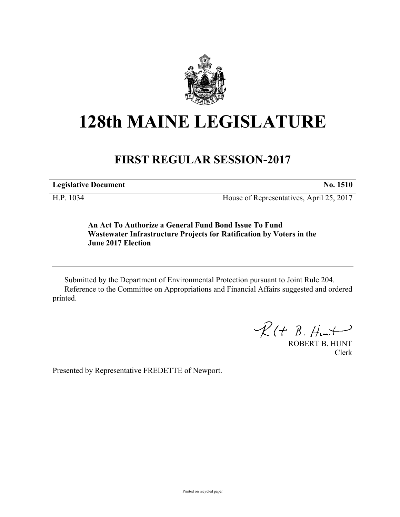

## **128th MAINE LEGISLATURE**

## **FIRST REGULAR SESSION-2017**

**Legislative Document No. 1510**

H.P. 1034 House of Representatives, April 25, 2017

**An Act To Authorize a General Fund Bond Issue To Fund Wastewater Infrastructure Projects for Ratification by Voters in the June 2017 Election**

Submitted by the Department of Environmental Protection pursuant to Joint Rule 204. Reference to the Committee on Appropriations and Financial Affairs suggested and ordered printed.

 $R(H B. H<sub>un</sub>+)$ 

ROBERT B. HUNT Clerk

Presented by Representative FREDETTE of Newport.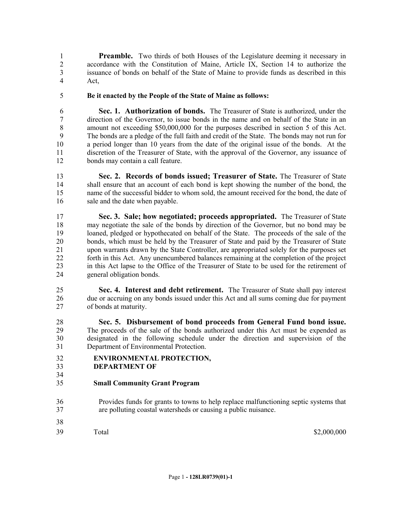**Preamble.** Two thirds of both Houses of the Legislature deeming it necessary in accordance with the Constitution of Maine, Article IX, Section 14 to authorize the issuance of bonds on behalf of the State of Maine to provide funds as described in this Act,

**Be it enacted by the People of the State of Maine as follows:**

 **Sec. 1. Authorization of bonds.** The Treasurer of State is authorized, under the direction of the Governor, to issue bonds in the name and on behalf of the State in an amount not exceeding \$50,000,000 for the purposes described in section 5 of this Act. The bonds are a pledge of the full faith and credit of the State. The bonds may not run for a period longer than 10 years from the date of the original issue of the bonds. At the discretion of the Treasurer of State, with the approval of the Governor, any issuance of bonds may contain a call feature.

 **Sec. 2. Records of bonds issued; Treasurer of State.** The Treasurer of State shall ensure that an account of each bond is kept showing the number of the bond, the name of the successful bidder to whom sold, the amount received for the bond, the date of 16 sale and the date when payable.

 **Sec. 3. Sale; how negotiated; proceeds appropriated.** The Treasurer of State may negotiate the sale of the bonds by direction of the Governor, but no bond may be loaned, pledged or hypothecated on behalf of the State. The proceeds of the sale of the bonds, which must be held by the Treasurer of State and paid by the Treasurer of State upon warrants drawn by the State Controller, are appropriated solely for the purposes set forth in this Act. Any unencumbered balances remaining at the completion of the project in this Act lapse to the Office of the Treasurer of State to be used for the retirement of general obligation bonds.

 **Sec. 4. Interest and debt retirement.** The Treasurer of State shall pay interest due or accruing on any bonds issued under this Act and all sums coming due for payment of bonds at maturity.

 **Sec. 5. Disbursement of bond proceeds from General Fund bond issue.**  The proceeds of the sale of the bonds authorized under this Act must be expended as designated in the following schedule under the direction and supervision of the Department of Environmental Protection.

- **ENVIRONMENTAL PROTECTION,**
- **DEPARTMENT OF**

- **Small Community Grant Program**
- Provides funds for grants to towns to help replace malfunctioning septic systems that are polluting coastal watersheds or causing a public nuisance.
- Total \$2,000,000 \$2,000,000 \$2,000,000 \$2,000,000 \$2,000,000 \$2,000,000 \$2,000,000 \$2,000 \$2,000 \$1,000 \$1,000 \$1,000 \$1,000 \$1,000 \$1,000 \$1,000 \$1,000 \$1,000 \$1,000 \$1,000 \$1,000 \$1,000 \$1,000 \$1,000 \$1,000 \$1,000 \$1,000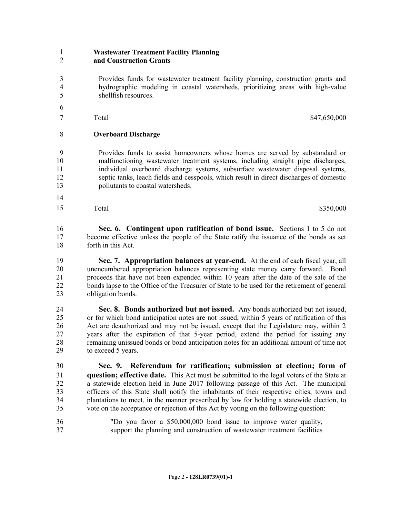## **Wastewater Treatment Facility Planning and Construction Grants**

 Provides funds for wastewater treatment facility planning, construction grants and hydrographic modeling in coastal watersheds, prioritizing areas with high-value shellfish resources.

 Total \$47,650,000

## **Overboard Discharge**

 Provides funds to assist homeowners whose homes are served by substandard or malfunctioning wastewater treatment systems, including straight pipe discharges, individual overboard discharge systems, subsurface wastewater disposal systems, septic tanks, leach fields and cesspools, which result in direct discharges of domestic pollutants to coastal watersheds.

  $\text{Total}$   $\$350,000$ 

 **Sec. 6. Contingent upon ratification of bond issue.** Sections 1 to 5 do not become effective unless the people of the State ratify the issuance of the bonds as set forth in this Act.

 **Sec. 7. Appropriation balances at year-end.** At the end of each fiscal year, all unencumbered appropriation balances representing state money carry forward. Bond proceeds that have not been expended within 10 years after the date of the sale of the bonds lapse to the Office of the Treasurer of State to be used for the retirement of general obligation bonds.

 **Sec. 8. Bonds authorized but not issued.** Any bonds authorized but not issued, or for which bond anticipation notes are not issued, within 5 years of ratification of this 26 Act are deauthorized and may not be issued, except that the Legislature may, within 2<br>27 vears after the expiration of that 5-vear period, extend the period for issuing any years after the expiration of that 5-year period, extend the period for issuing any remaining unissued bonds or bond anticipation notes for an additional amount of time not to exceed 5 years.

 **Sec. 9. Referendum for ratification; submission at election; form of question; effective date.** This Act must be submitted to the legal voters of the State at a statewide election held in June 2017 following passage of this Act. The municipal officers of this State shall notify the inhabitants of their respective cities, towns and plantations to meet, in the manner prescribed by law for holding a statewide election, to vote on the acceptance or rejection of this Act by voting on the following question:

 "Do you favor a \$50,000,000 bond issue to improve water quality, support the planning and construction of wastewater treatment facilities